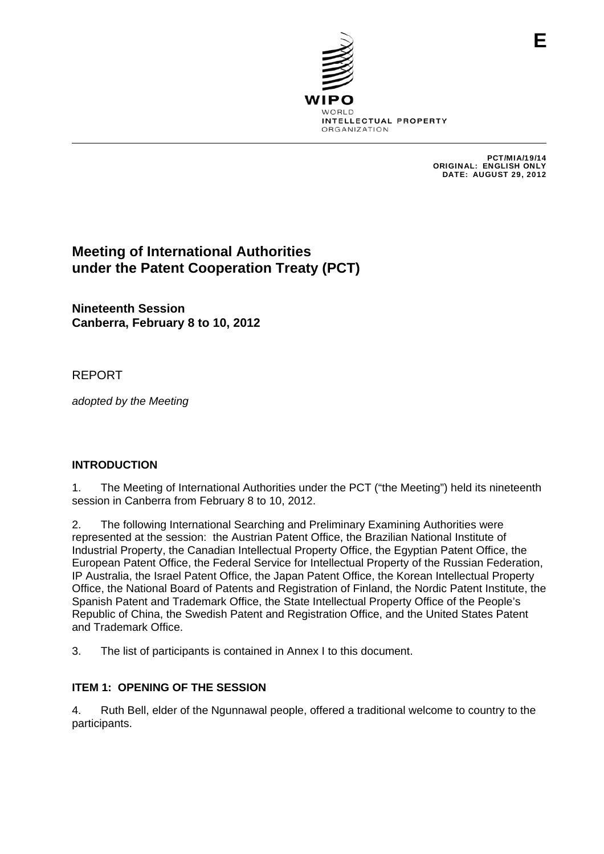

PCT/MIA/19/14 ORIGINAL: ENGLISH ONLY DATE: AUGUST 29, 2012

**E**

# **Meeting of International Authorities under the Patent Cooperation Treaty (PCT)**

**Nineteenth Session Canberra, February 8 to 10, 2012** 

## REPORT

*adopted by the Meeting* 

## **INTRODUCTION**

1. The Meeting of International Authorities under the PCT ("the Meeting") held its nineteenth session in Canberra from February 8 to 10, 2012.

2. The following International Searching and Preliminary Examining Authorities were represented at the session: the Austrian Patent Office, the Brazilian National Institute of Industrial Property, the Canadian Intellectual Property Office, the Egyptian Patent Office, the European Patent Office, the Federal Service for Intellectual Property of the Russian Federation, IP Australia, the Israel Patent Office, the Japan Patent Office, the Korean Intellectual Property Office, the National Board of Patents and Registration of Finland, the Nordic Patent Institute, the Spanish Patent and Trademark Office, the State Intellectual Property Office of the People's Republic of China, the Swedish Patent and Registration Office, and the United States Patent and Trademark Office.

3. The list of participants is contained in Annex I to this document.

## **ITEM 1: OPENING OF THE SESSION**

4. Ruth Bell, elder of the Ngunnawal people, offered a traditional welcome to country to the participants.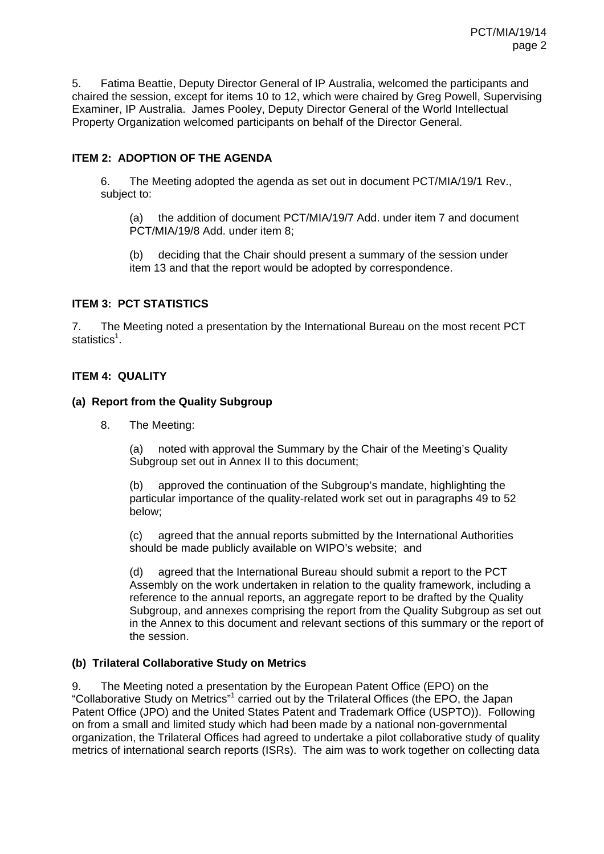5. Fatima Beattie, Deputy Director General of IP Australia, welcomed the participants and chaired the session, except for items 10 to 12, which were chaired by Greg Powell, Supervising Examiner, IP Australia. James Pooley, Deputy Director General of the World Intellectual Property Organization welcomed participants on behalf of the Director General.

### **ITEM 2: ADOPTION OF THE AGENDA**

6. The Meeting adopted the agenda as set out in document PCT/MIA/19/1 Rev., subject to:

(a) the addition of document PCT/MIA/19/7 Add. under item 7 and document PCT/MIA/19/8 Add. under item 8;

(b) deciding that the Chair should present a summary of the session under item 13 and that the report would be adopted by correspondence.

### **ITEM 3: PCT STATISTICS**

7. The Meeting noted a presentation by the International Bureau on the most recent PCT statistics<sup>1</sup>.

### **ITEM 4: QUALITY**

#### **(a) Report from the Quality Subgroup**

8. The Meeting:

(a) noted with approval the Summary by the Chair of the Meeting's Quality Subgroup set out in Annex II to this document:

(b) approved the continuation of the Subgroup's mandate, highlighting the particular importance of the quality-related work set out in paragraphs 49 to 52 below;

(c) agreed that the annual reports submitted by the International Authorities should be made publicly available on WIPO's website; and

(d) agreed that the International Bureau should submit a report to the PCT Assembly on the work undertaken in relation to the quality framework, including a reference to the annual reports, an aggregate report to be drafted by the Quality Subgroup, and annexes comprising the report from the Quality Subgroup as set out in the Annex to this document and relevant sections of this summary or the report of the session.

### **(b) Trilateral Collaborative Study on Metrics**

9. The Meeting noted a presentation by the European Patent Office (EPO) on the "Collaborative Study on Metrics"<sup>1</sup> carried out by the Trilateral Offices (the EPO, the Japan Patent Office (JPO) and the United States Patent and Trademark Office (USPTO)). Following on from a small and limited study which had been made by a national non-governmental organization, the Trilateral Offices had agreed to undertake a pilot collaborative study of quality metrics of international search reports (ISRs). The aim was to work together on collecting data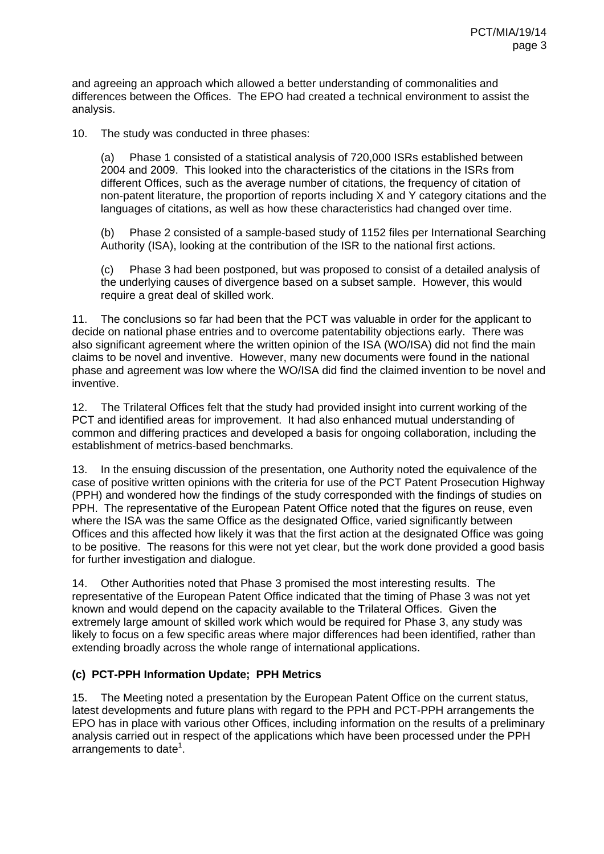and agreeing an approach which allowed a better understanding of commonalities and differences between the Offices. The EPO had created a technical environment to assist the analysis.

10. The study was conducted in three phases:

(a) Phase 1 consisted of a statistical analysis of 720,000 ISRs established between 2004 and 2009. This looked into the characteristics of the citations in the ISRs from different Offices, such as the average number of citations, the frequency of citation of non-patent literature, the proportion of reports including X and Y category citations and the languages of citations, as well as how these characteristics had changed over time.

(b) Phase 2 consisted of a sample-based study of 1152 files per International Searching Authority (ISA), looking at the contribution of the ISR to the national first actions.

(c) Phase 3 had been postponed, but was proposed to consist of a detailed analysis of the underlying causes of divergence based on a subset sample. However, this would require a great deal of skilled work.

11. The conclusions so far had been that the PCT was valuable in order for the applicant to decide on national phase entries and to overcome patentability objections early. There was also significant agreement where the written opinion of the ISA (WO/ISA) did not find the main claims to be novel and inventive. However, many new documents were found in the national phase and agreement was low where the WO/ISA did find the claimed invention to be novel and inventive.

12. The Trilateral Offices felt that the study had provided insight into current working of the PCT and identified areas for improvement. It had also enhanced mutual understanding of common and differing practices and developed a basis for ongoing collaboration, including the establishment of metrics-based benchmarks.

13. In the ensuing discussion of the presentation, one Authority noted the equivalence of the case of positive written opinions with the criteria for use of the PCT Patent Prosecution Highway (PPH) and wondered how the findings of the study corresponded with the findings of studies on PPH. The representative of the European Patent Office noted that the figures on reuse, even where the ISA was the same Office as the designated Office, varied significantly between Offices and this affected how likely it was that the first action at the designated Office was going to be positive. The reasons for this were not yet clear, but the work done provided a good basis for further investigation and dialogue.

14. Other Authorities noted that Phase 3 promised the most interesting results. The representative of the European Patent Office indicated that the timing of Phase 3 was not yet known and would depend on the capacity available to the Trilateral Offices. Given the extremely large amount of skilled work which would be required for Phase 3, any study was likely to focus on a few specific areas where major differences had been identified, rather than extending broadly across the whole range of international applications.

## **(c) PCT-PPH Information Update; PPH Metrics**

15. The Meeting noted a presentation by the European Patent Office on the current status, latest developments and future plans with regard to the PPH and PCT-PPH arrangements the EPO has in place with various other Offices, including information on the results of a preliminary analysis carried out in respect of the applications which have been processed under the PPH arrangements to date<sup>1</sup>.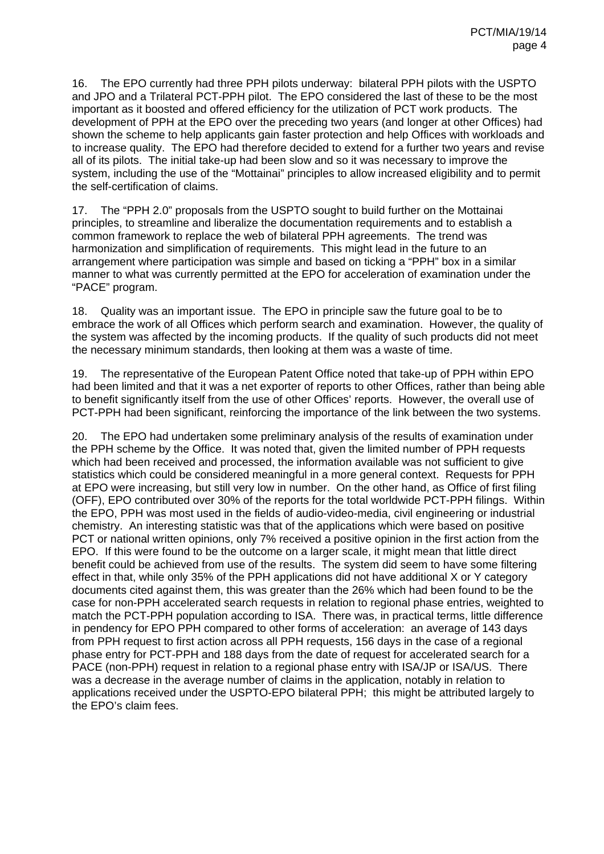16. The EPO currently had three PPH pilots underway: bilateral PPH pilots with the USPTO and JPO and a Trilateral PCT-PPH pilot. The EPO considered the last of these to be the most important as it boosted and offered efficiency for the utilization of PCT work products. The development of PPH at the EPO over the preceding two years (and longer at other Offices) had shown the scheme to help applicants gain faster protection and help Offices with workloads and to increase quality. The EPO had therefore decided to extend for a further two years and revise all of its pilots. The initial take-up had been slow and so it was necessary to improve the system, including the use of the "Mottainai" principles to allow increased eligibility and to permit the self-certification of claims.

17. The "PPH 2.0" proposals from the USPTO sought to build further on the Mottainai principles, to streamline and liberalize the documentation requirements and to establish a common framework to replace the web of bilateral PPH agreements. The trend was harmonization and simplification of requirements. This might lead in the future to an arrangement where participation was simple and based on ticking a "PPH" box in a similar manner to what was currently permitted at the EPO for acceleration of examination under the "PACE" program.

18. Quality was an important issue. The EPO in principle saw the future goal to be to embrace the work of all Offices which perform search and examination. However, the quality of the system was affected by the incoming products. If the quality of such products did not meet the necessary minimum standards, then looking at them was a waste of time.

19. The representative of the European Patent Office noted that take-up of PPH within EPO had been limited and that it was a net exporter of reports to other Offices, rather than being able to benefit significantly itself from the use of other Offices' reports. However, the overall use of PCT-PPH had been significant, reinforcing the importance of the link between the two systems.

20. The EPO had undertaken some preliminary analysis of the results of examination under the PPH scheme by the Office. It was noted that, given the limited number of PPH requests which had been received and processed, the information available was not sufficient to give statistics which could be considered meaningful in a more general context. Requests for PPH at EPO were increasing, but still very low in number. On the other hand, as Office of first filing (OFF), EPO contributed over 30% of the reports for the total worldwide PCT-PPH filings. Within the EPO, PPH was most used in the fields of audio-video-media, civil engineering or industrial chemistry. An interesting statistic was that of the applications which were based on positive PCT or national written opinions, only 7% received a positive opinion in the first action from the EPO. If this were found to be the outcome on a larger scale, it might mean that little direct benefit could be achieved from use of the results. The system did seem to have some filtering effect in that, while only 35% of the PPH applications did not have additional X or Y category documents cited against them, this was greater than the 26% which had been found to be the case for non-PPH accelerated search requests in relation to regional phase entries, weighted to match the PCT-PPH population according to ISA. There was, in practical terms, little difference in pendency for EPO PPH compared to other forms of acceleration: an average of 143 days from PPH request to first action across all PPH requests, 156 days in the case of a regional phase entry for PCT-PPH and 188 days from the date of request for accelerated search for a PACE (non-PPH) request in relation to a regional phase entry with ISA/JP or ISA/US. There was a decrease in the average number of claims in the application, notably in relation to applications received under the USPTO-EPO bilateral PPH; this might be attributed largely to the EPO's claim fees.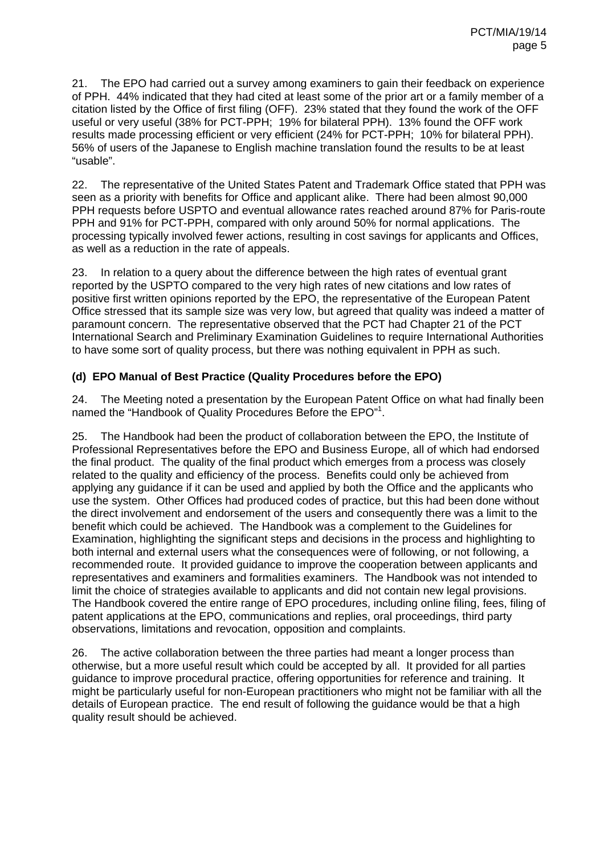21. The EPO had carried out a survey among examiners to gain their feedback on experience of PPH. 44% indicated that they had cited at least some of the prior art or a family member of a citation listed by the Office of first filing (OFF). 23% stated that they found the work of the OFF useful or very useful (38% for PCT-PPH; 19% for bilateral PPH). 13% found the OFF work results made processing efficient or very efficient (24% for PCT-PPH; 10% for bilateral PPH). 56% of users of the Japanese to English machine translation found the results to be at least "usable".

22. The representative of the United States Patent and Trademark Office stated that PPH was seen as a priority with benefits for Office and applicant alike. There had been almost 90,000 PPH requests before USPTO and eventual allowance rates reached around 87% for Paris-route PPH and 91% for PCT-PPH, compared with only around 50% for normal applications. The processing typically involved fewer actions, resulting in cost savings for applicants and Offices, as well as a reduction in the rate of appeals.

23. In relation to a query about the difference between the high rates of eventual grant reported by the USPTO compared to the very high rates of new citations and low rates of positive first written opinions reported by the EPO, the representative of the European Patent Office stressed that its sample size was very low, but agreed that quality was indeed a matter of paramount concern. The representative observed that the PCT had Chapter 21 of the PCT International Search and Preliminary Examination Guidelines to require International Authorities to have some sort of quality process, but there was nothing equivalent in PPH as such.

## **(d) EPO Manual of Best Practice (Quality Procedures before the EPO)**

24. The Meeting noted a presentation by the European Patent Office on what had finally been named the "Handbook of Quality Procedures Before the EPO"<sup>1</sup>.

25. The Handbook had been the product of collaboration between the EPO, the Institute of Professional Representatives before the EPO and Business Europe, all of which had endorsed the final product. The quality of the final product which emerges from a process was closely related to the quality and efficiency of the process. Benefits could only be achieved from applying any guidance if it can be used and applied by both the Office and the applicants who use the system. Other Offices had produced codes of practice, but this had been done without the direct involvement and endorsement of the users and consequently there was a limit to the benefit which could be achieved. The Handbook was a complement to the Guidelines for Examination, highlighting the significant steps and decisions in the process and highlighting to both internal and external users what the consequences were of following, or not following, a recommended route. It provided guidance to improve the cooperation between applicants and representatives and examiners and formalities examiners. The Handbook was not intended to limit the choice of strategies available to applicants and did not contain new legal provisions. The Handbook covered the entire range of EPO procedures, including online filing, fees, filing of patent applications at the EPO, communications and replies, oral proceedings, third party observations, limitations and revocation, opposition and complaints.

26. The active collaboration between the three parties had meant a longer process than otherwise, but a more useful result which could be accepted by all. It provided for all parties guidance to improve procedural practice, offering opportunities for reference and training. It might be particularly useful for non-European practitioners who might not be familiar with all the details of European practice. The end result of following the guidance would be that a high quality result should be achieved.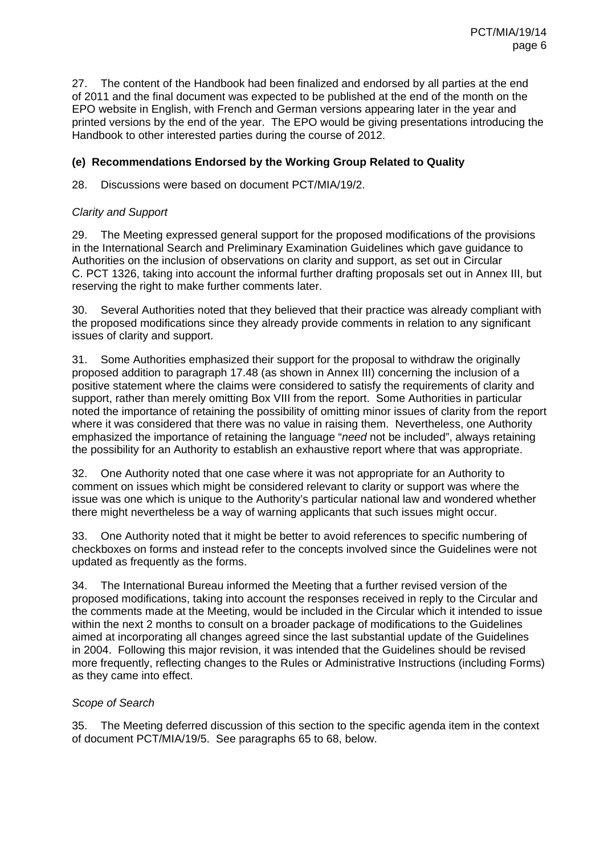27. The content of the Handbook had been finalized and endorsed by all parties at the end of 2011 and the final document was expected to be published at the end of the month on the EPO website in English, with French and German versions appearing later in the year and printed versions by the end of the year. The EPO would be giving presentations introducing the Handbook to other interested parties during the course of 2012.

### **(e) Recommendations Endorsed by the Working Group Related to Quality**

28. Discussions were based on document PCT/MIA/19/2.

### *Clarity and Support*

29. The Meeting expressed general support for the proposed modifications of the provisions in the International Search and Preliminary Examination Guidelines which gave guidance to Authorities on the inclusion of observations on clarity and support, as set out in Circular C. PCT 1326, taking into account the informal further drafting proposals set out in Annex III, but reserving the right to make further comments later.

30. Several Authorities noted that they believed that their practice was already compliant with the proposed modifications since they already provide comments in relation to any significant issues of clarity and support.

31. Some Authorities emphasized their support for the proposal to withdraw the originally proposed addition to paragraph 17.48 (as shown in Annex III) concerning the inclusion of a positive statement where the claims were considered to satisfy the requirements of clarity and support, rather than merely omitting Box VIII from the report. Some Authorities in particular noted the importance of retaining the possibility of omitting minor issues of clarity from the report where it was considered that there was no value in raising them. Nevertheless, one Authority emphasized the importance of retaining the language "*need* not be included", always retaining the possibility for an Authority to establish an exhaustive report where that was appropriate.

32. One Authority noted that one case where it was not appropriate for an Authority to comment on issues which might be considered relevant to clarity or support was where the issue was one which is unique to the Authority's particular national law and wondered whether there might nevertheless be a way of warning applicants that such issues might occur.

33. One Authority noted that it might be better to avoid references to specific numbering of checkboxes on forms and instead refer to the concepts involved since the Guidelines were not updated as frequently as the forms.

34. The International Bureau informed the Meeting that a further revised version of the proposed modifications, taking into account the responses received in reply to the Circular and the comments made at the Meeting, would be included in the Circular which it intended to issue within the next 2 months to consult on a broader package of modifications to the Guidelines aimed at incorporating all changes agreed since the last substantial update of the Guidelines in 2004. Following this major revision, it was intended that the Guidelines should be revised more frequently, reflecting changes to the Rules or Administrative Instructions (including Forms) as they came into effect.

### *Scope of Search*

35. The Meeting deferred discussion of this section to the specific agenda item in the context of document PCT/MIA/19/5. See paragraphs 65 to 68, below.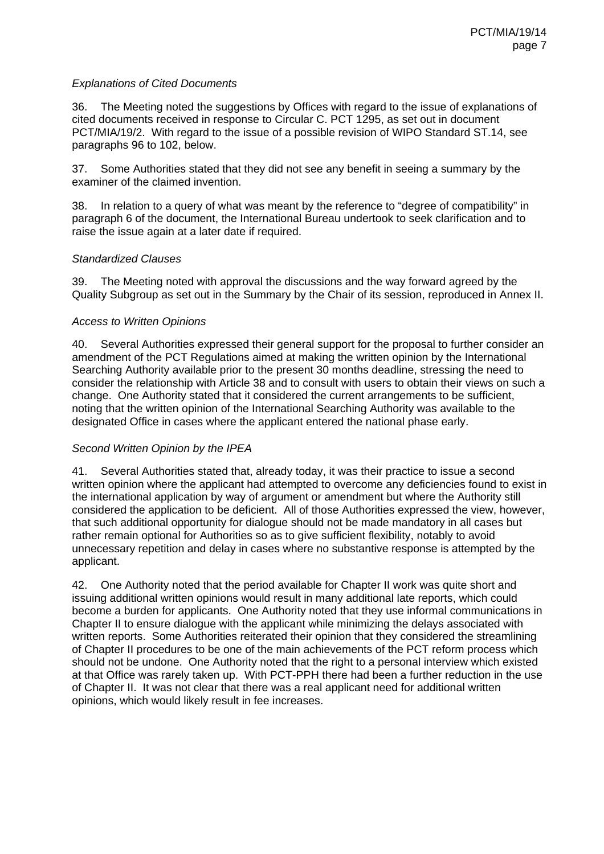### *Explanations of Cited Documents*

36. The Meeting noted the suggestions by Offices with regard to the issue of explanations of cited documents received in response to Circular C. PCT 1295, as set out in document PCT/MIA/19/2. With regard to the issue of a possible revision of WIPO Standard ST.14, see paragraphs 96 to 102, below.

37. Some Authorities stated that they did not see any benefit in seeing a summary by the examiner of the claimed invention.

38. In relation to a query of what was meant by the reference to "degree of compatibility" in paragraph 6 of the document, the International Bureau undertook to seek clarification and to raise the issue again at a later date if required.

#### *Standardized Clauses*

39. The Meeting noted with approval the discussions and the way forward agreed by the Quality Subgroup as set out in the Summary by the Chair of its session, reproduced in Annex II.

#### *Access to Written Opinions*

40. Several Authorities expressed their general support for the proposal to further consider an amendment of the PCT Regulations aimed at making the written opinion by the International Searching Authority available prior to the present 30 months deadline, stressing the need to consider the relationship with Article 38 and to consult with users to obtain their views on such a change. One Authority stated that it considered the current arrangements to be sufficient, noting that the written opinion of the International Searching Authority was available to the designated Office in cases where the applicant entered the national phase early.

### *Second Written Opinion by the IPEA*

41. Several Authorities stated that, already today, it was their practice to issue a second written opinion where the applicant had attempted to overcome any deficiencies found to exist in the international application by way of argument or amendment but where the Authority still considered the application to be deficient. All of those Authorities expressed the view, however, that such additional opportunity for dialogue should not be made mandatory in all cases but rather remain optional for Authorities so as to give sufficient flexibility, notably to avoid unnecessary repetition and delay in cases where no substantive response is attempted by the applicant.

42. One Authority noted that the period available for Chapter II work was quite short and issuing additional written opinions would result in many additional late reports, which could become a burden for applicants. One Authority noted that they use informal communications in Chapter II to ensure dialogue with the applicant while minimizing the delays associated with written reports. Some Authorities reiterated their opinion that they considered the streamlining of Chapter II procedures to be one of the main achievements of the PCT reform process which should not be undone. One Authority noted that the right to a personal interview which existed at that Office was rarely taken up. With PCT-PPH there had been a further reduction in the use of Chapter II. It was not clear that there was a real applicant need for additional written opinions, which would likely result in fee increases.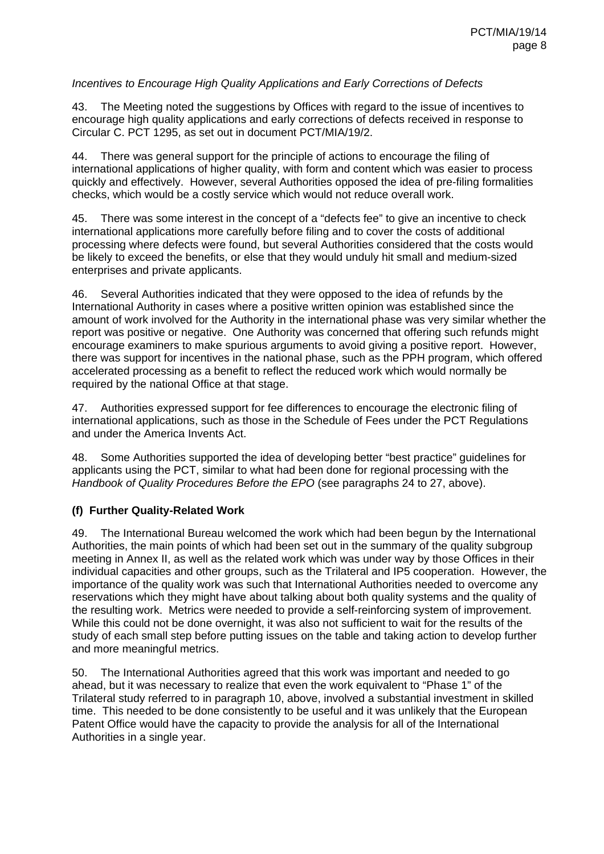### *Incentives to Encourage High Quality Applications and Early Corrections of Defects*

43. The Meeting noted the suggestions by Offices with regard to the issue of incentives to encourage high quality applications and early corrections of defects received in response to Circular C. PCT 1295, as set out in document PCT/MIA/19/2.

44. There was general support for the principle of actions to encourage the filing of international applications of higher quality, with form and content which was easier to process quickly and effectively. However, several Authorities opposed the idea of pre-filing formalities checks, which would be a costly service which would not reduce overall work.

45. There was some interest in the concept of a "defects fee" to give an incentive to check international applications more carefully before filing and to cover the costs of additional processing where defects were found, but several Authorities considered that the costs would be likely to exceed the benefits, or else that they would unduly hit small and medium-sized enterprises and private applicants.

46. Several Authorities indicated that they were opposed to the idea of refunds by the International Authority in cases where a positive written opinion was established since the amount of work involved for the Authority in the international phase was very similar whether the report was positive or negative. One Authority was concerned that offering such refunds might encourage examiners to make spurious arguments to avoid giving a positive report. However, there was support for incentives in the national phase, such as the PPH program, which offered accelerated processing as a benefit to reflect the reduced work which would normally be required by the national Office at that stage.

47. Authorities expressed support for fee differences to encourage the electronic filing of international applications, such as those in the Schedule of Fees under the PCT Regulations and under the America Invents Act.

48. Some Authorities supported the idea of developing better "best practice" guidelines for applicants using the PCT, similar to what had been done for regional processing with the *Handbook of Quality Procedures Before the EPO* (see paragraphs 24 to 27, above).

### **(f) Further Quality-Related Work**

49. The International Bureau welcomed the work which had been begun by the International Authorities, the main points of which had been set out in the summary of the quality subgroup meeting in Annex II, as well as the related work which was under way by those Offices in their individual capacities and other groups, such as the Trilateral and IP5 cooperation. However, the importance of the quality work was such that International Authorities needed to overcome any reservations which they might have about talking about both quality systems and the quality of the resulting work. Metrics were needed to provide a self-reinforcing system of improvement. While this could not be done overnight, it was also not sufficient to wait for the results of the study of each small step before putting issues on the table and taking action to develop further and more meaningful metrics.

50. The International Authorities agreed that this work was important and needed to go ahead, but it was necessary to realize that even the work equivalent to "Phase 1" of the Trilateral study referred to in paragraph 10, above, involved a substantial investment in skilled time. This needed to be done consistently to be useful and it was unlikely that the European Patent Office would have the capacity to provide the analysis for all of the International Authorities in a single year.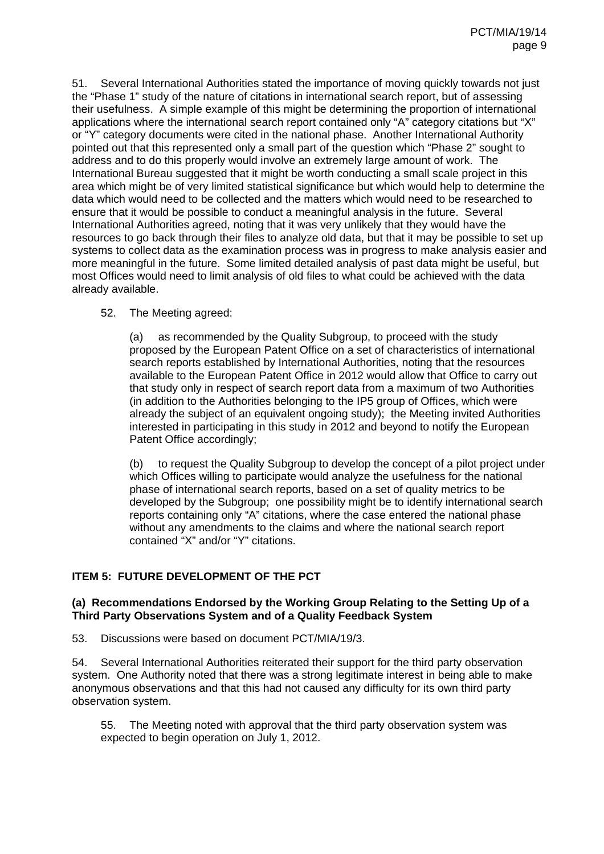51. Several International Authorities stated the importance of moving quickly towards not just the "Phase 1" study of the nature of citations in international search report, but of assessing their usefulness. A simple example of this might be determining the proportion of international applications where the international search report contained only "A" category citations but "X" or "Y" category documents were cited in the national phase. Another International Authority pointed out that this represented only a small part of the question which "Phase 2" sought to address and to do this properly would involve an extremely large amount of work. The International Bureau suggested that it might be worth conducting a small scale project in this area which might be of very limited statistical significance but which would help to determine the data which would need to be collected and the matters which would need to be researched to ensure that it would be possible to conduct a meaningful analysis in the future. Several International Authorities agreed, noting that it was very unlikely that they would have the resources to go back through their files to analyze old data, but that it may be possible to set up systems to collect data as the examination process was in progress to make analysis easier and more meaningful in the future. Some limited detailed analysis of past data might be useful, but most Offices would need to limit analysis of old files to what could be achieved with the data already available.

#### 52. The Meeting agreed:

(a) as recommended by the Quality Subgroup, to proceed with the study proposed by the European Patent Office on a set of characteristics of international search reports established by International Authorities, noting that the resources available to the European Patent Office in 2012 would allow that Office to carry out that study only in respect of search report data from a maximum of two Authorities (in addition to the Authorities belonging to the IP5 group of Offices, which were already the subject of an equivalent ongoing study); the Meeting invited Authorities interested in participating in this study in 2012 and beyond to notify the European Patent Office accordingly:

(b) to request the Quality Subgroup to develop the concept of a pilot project under which Offices willing to participate would analyze the usefulness for the national phase of international search reports, based on a set of quality metrics to be developed by the Subgroup; one possibility might be to identify international search reports containing only "A" citations, where the case entered the national phase without any amendments to the claims and where the national search report contained "X" and/or "Y" citations.

### **ITEM 5: FUTURE DEVELOPMENT OF THE PCT**

#### **(a) Recommendations Endorsed by the Working Group Relating to the Setting Up of a Third Party Observations System and of a Quality Feedback System**

53. Discussions were based on document PCT/MIA/19/3.

54. Several International Authorities reiterated their support for the third party observation system. One Authority noted that there was a strong legitimate interest in being able to make anonymous observations and that this had not caused any difficulty for its own third party observation system.

55. The Meeting noted with approval that the third party observation system was expected to begin operation on July 1, 2012.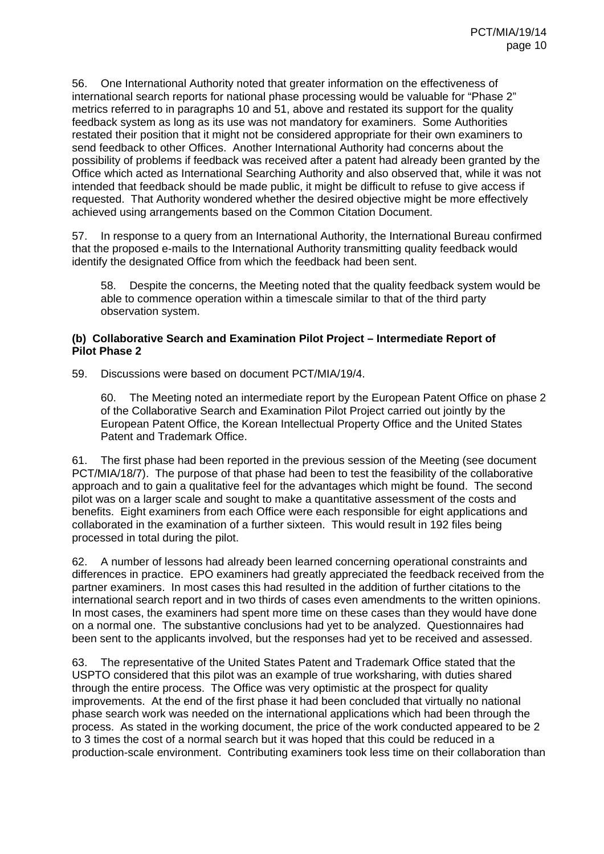56. One International Authority noted that greater information on the effectiveness of international search reports for national phase processing would be valuable for "Phase 2" metrics referred to in paragraphs 10 and 51, above and restated its support for the quality feedback system as long as its use was not mandatory for examiners. Some Authorities restated their position that it might not be considered appropriate for their own examiners to send feedback to other Offices. Another International Authority had concerns about the possibility of problems if feedback was received after a patent had already been granted by the Office which acted as International Searching Authority and also observed that, while it was not intended that feedback should be made public, it might be difficult to refuse to give access if requested. That Authority wondered whether the desired objective might be more effectively achieved using arrangements based on the Common Citation Document.

57. In response to a query from an International Authority, the International Bureau confirmed that the proposed e-mails to the International Authority transmitting quality feedback would identify the designated Office from which the feedback had been sent.

58. Despite the concerns, the Meeting noted that the quality feedback system would be able to commence operation within a timescale similar to that of the third party observation system.

#### **(b) Collaborative Search and Examination Pilot Project – Intermediate Report of Pilot Phase 2**

59. Discussions were based on document PCT/MIA/19/4.

60. The Meeting noted an intermediate report by the European Patent Office on phase 2 of the Collaborative Search and Examination Pilot Project carried out jointly by the European Patent Office, the Korean Intellectual Property Office and the United States Patent and Trademark Office.

61. The first phase had been reported in the previous session of the Meeting (see document PCT/MIA/18/7). The purpose of that phase had been to test the feasibility of the collaborative approach and to gain a qualitative feel for the advantages which might be found. The second pilot was on a larger scale and sought to make a quantitative assessment of the costs and benefits. Eight examiners from each Office were each responsible for eight applications and collaborated in the examination of a further sixteen. This would result in 192 files being processed in total during the pilot.

62. A number of lessons had already been learned concerning operational constraints and differences in practice. EPO examiners had greatly appreciated the feedback received from the partner examiners. In most cases this had resulted in the addition of further citations to the international search report and in two thirds of cases even amendments to the written opinions. In most cases, the examiners had spent more time on these cases than they would have done on a normal one. The substantive conclusions had yet to be analyzed. Questionnaires had been sent to the applicants involved, but the responses had yet to be received and assessed.

63. The representative of the United States Patent and Trademark Office stated that the USPTO considered that this pilot was an example of true worksharing, with duties shared through the entire process. The Office was very optimistic at the prospect for quality improvements. At the end of the first phase it had been concluded that virtually no national phase search work was needed on the international applications which had been through the process. As stated in the working document, the price of the work conducted appeared to be 2 to 3 times the cost of a normal search but it was hoped that this could be reduced in a production-scale environment. Contributing examiners took less time on their collaboration than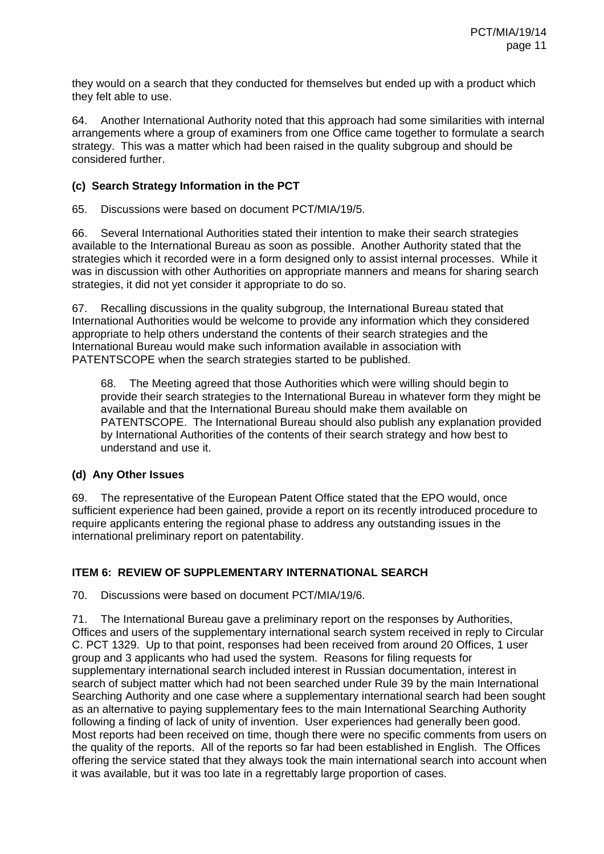they would on a search that they conducted for themselves but ended up with a product which they felt able to use.

64. Another International Authority noted that this approach had some similarities with internal arrangements where a group of examiners from one Office came together to formulate a search strategy. This was a matter which had been raised in the quality subgroup and should be considered further.

### **(c) Search Strategy Information in the PCT**

65. Discussions were based on document PCT/MIA/19/5.

66. Several International Authorities stated their intention to make their search strategies available to the International Bureau as soon as possible. Another Authority stated that the strategies which it recorded were in a form designed only to assist internal processes. While it was in discussion with other Authorities on appropriate manners and means for sharing search strategies, it did not yet consider it appropriate to do so.

67. Recalling discussions in the quality subgroup, the International Bureau stated that International Authorities would be welcome to provide any information which they considered appropriate to help others understand the contents of their search strategies and the International Bureau would make such information available in association with PATENTSCOPE when the search strategies started to be published.

68. The Meeting agreed that those Authorities which were willing should begin to provide their search strategies to the International Bureau in whatever form they might be available and that the International Bureau should make them available on PATENTSCOPE. The International Bureau should also publish any explanation provided by International Authorities of the contents of their search strategy and how best to understand and use it.

## **(d) Any Other Issues**

69. The representative of the European Patent Office stated that the EPO would, once sufficient experience had been gained, provide a report on its recently introduced procedure to require applicants entering the regional phase to address any outstanding issues in the international preliminary report on patentability.

## **ITEM 6: REVIEW OF SUPPLEMENTARY INTERNATIONAL SEARCH**

70. Discussions were based on document PCT/MIA/19/6.

71. The International Bureau gave a preliminary report on the responses by Authorities, Offices and users of the supplementary international search system received in reply to Circular C. PCT 1329. Up to that point, responses had been received from around 20 Offices, 1 user group and 3 applicants who had used the system. Reasons for filing requests for supplementary international search included interest in Russian documentation, interest in search of subject matter which had not been searched under Rule 39 by the main International Searching Authority and one case where a supplementary international search had been sought as an alternative to paying supplementary fees to the main International Searching Authority following a finding of lack of unity of invention. User experiences had generally been good. Most reports had been received on time, though there were no specific comments from users on the quality of the reports. All of the reports so far had been established in English. The Offices offering the service stated that they always took the main international search into account when it was available, but it was too late in a regrettably large proportion of cases.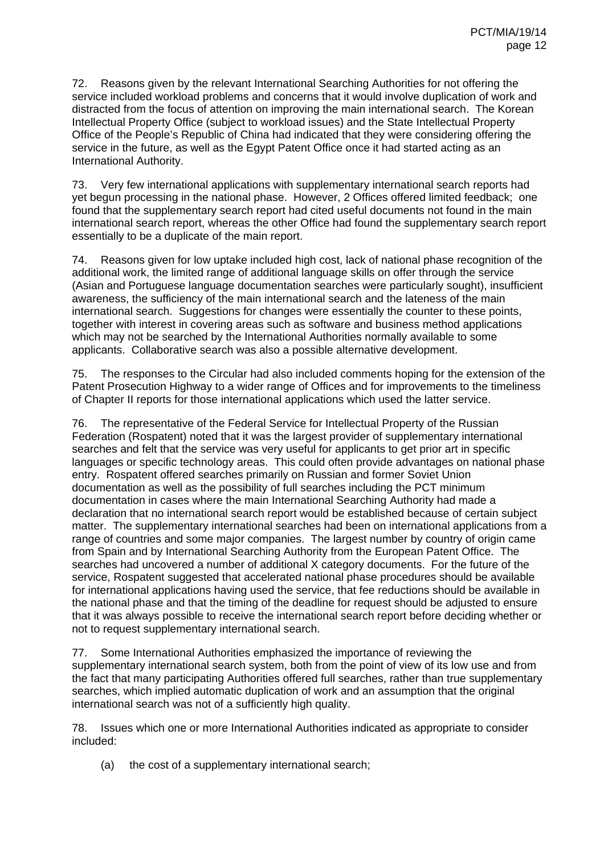72. Reasons given by the relevant International Searching Authorities for not offering the service included workload problems and concerns that it would involve duplication of work and distracted from the focus of attention on improving the main international search. The Korean Intellectual Property Office (subject to workload issues) and the State Intellectual Property Office of the People's Republic of China had indicated that they were considering offering the service in the future, as well as the Egypt Patent Office once it had started acting as an International Authority.

73. Very few international applications with supplementary international search reports had yet begun processing in the national phase. However, 2 Offices offered limited feedback; one found that the supplementary search report had cited useful documents not found in the main international search report, whereas the other Office had found the supplementary search report essentially to be a duplicate of the main report.

74. Reasons given for low uptake included high cost, lack of national phase recognition of the additional work, the limited range of additional language skills on offer through the service (Asian and Portuguese language documentation searches were particularly sought), insufficient awareness, the sufficiency of the main international search and the lateness of the main international search. Suggestions for changes were essentially the counter to these points, together with interest in covering areas such as software and business method applications which may not be searched by the International Authorities normally available to some applicants. Collaborative search was also a possible alternative development.

75. The responses to the Circular had also included comments hoping for the extension of the Patent Prosecution Highway to a wider range of Offices and for improvements to the timeliness of Chapter II reports for those international applications which used the latter service.

76. The representative of the Federal Service for Intellectual Property of the Russian Federation (Rospatent) noted that it was the largest provider of supplementary international searches and felt that the service was very useful for applicants to get prior art in specific languages or specific technology areas. This could often provide advantages on national phase entry. Rospatent offered searches primarily on Russian and former Soviet Union documentation as well as the possibility of full searches including the PCT minimum documentation in cases where the main International Searching Authority had made a declaration that no international search report would be established because of certain subject matter. The supplementary international searches had been on international applications from a range of countries and some major companies. The largest number by country of origin came from Spain and by International Searching Authority from the European Patent Office. The searches had uncovered a number of additional X category documents. For the future of the service, Rospatent suggested that accelerated national phase procedures should be available for international applications having used the service, that fee reductions should be available in the national phase and that the timing of the deadline for request should be adjusted to ensure that it was always possible to receive the international search report before deciding whether or not to request supplementary international search.

77. Some International Authorities emphasized the importance of reviewing the supplementary international search system, both from the point of view of its low use and from the fact that many participating Authorities offered full searches, rather than true supplementary searches, which implied automatic duplication of work and an assumption that the original international search was not of a sufficiently high quality.

78. Issues which one or more International Authorities indicated as appropriate to consider included:

(a) the cost of a supplementary international search;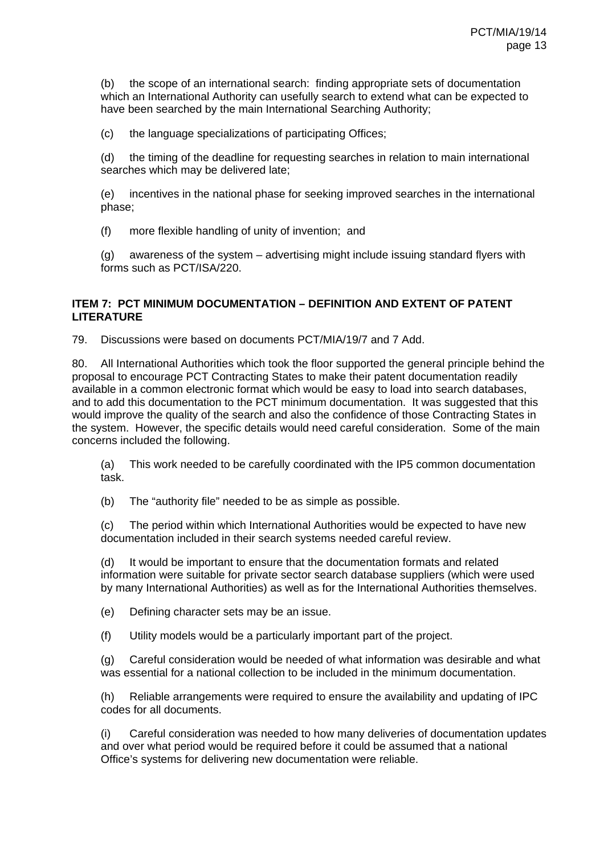(b) the scope of an international search: finding appropriate sets of documentation which an International Authority can usefully search to extend what can be expected to have been searched by the main International Searching Authority;

(c) the language specializations of participating Offices;

(d) the timing of the deadline for requesting searches in relation to main international searches which may be delivered late;

(e) incentives in the national phase for seeking improved searches in the international phase;

(f) more flexible handling of unity of invention; and

(g) awareness of the system – advertising might include issuing standard flyers with forms such as PCT/ISA/220.

#### **ITEM 7: PCT MINIMUM DOCUMENTATION – DEFINITION AND EXTENT OF PATENT LITERATURE**

79. Discussions were based on documents PCT/MIA/19/7 and 7 Add.

80. All International Authorities which took the floor supported the general principle behind the proposal to encourage PCT Contracting States to make their patent documentation readily available in a common electronic format which would be easy to load into search databases, and to add this documentation to the PCT minimum documentation. It was suggested that this would improve the quality of the search and also the confidence of those Contracting States in the system. However, the specific details would need careful consideration. Some of the main concerns included the following.

(a) This work needed to be carefully coordinated with the IP5 common documentation task.

(b) The "authority file" needed to be as simple as possible.

(c) The period within which International Authorities would be expected to have new documentation included in their search systems needed careful review.

(d) It would be important to ensure that the documentation formats and related information were suitable for private sector search database suppliers (which were used by many International Authorities) as well as for the International Authorities themselves.

(e) Defining character sets may be an issue.

(f) Utility models would be a particularly important part of the project.

(g) Careful consideration would be needed of what information was desirable and what was essential for a national collection to be included in the minimum documentation.

(h) Reliable arrangements were required to ensure the availability and updating of IPC codes for all documents.

(i) Careful consideration was needed to how many deliveries of documentation updates and over what period would be required before it could be assumed that a national Office's systems for delivering new documentation were reliable.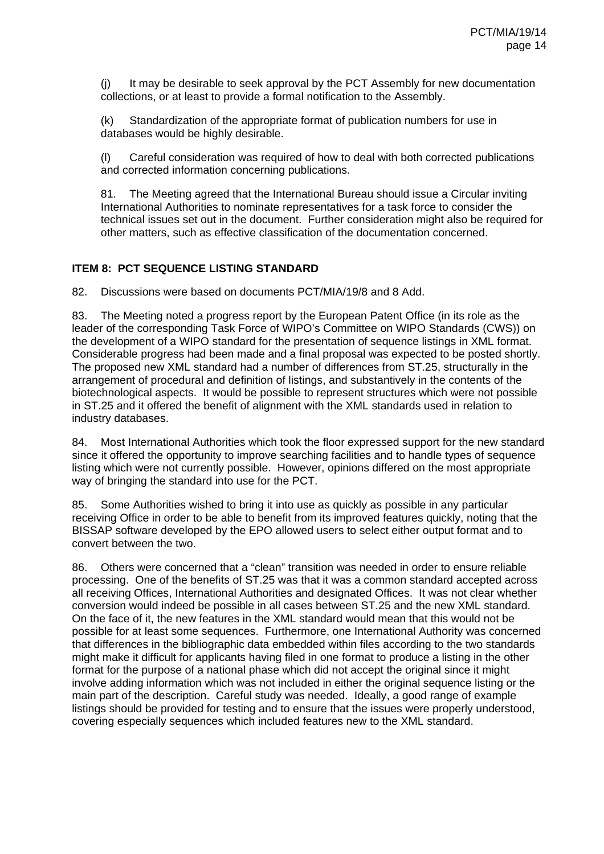(j) It may be desirable to seek approval by the PCT Assembly for new documentation collections, or at least to provide a formal notification to the Assembly.

(k) Standardization of the appropriate format of publication numbers for use in databases would be highly desirable.

(l) Careful consideration was required of how to deal with both corrected publications and corrected information concerning publications.

81. The Meeting agreed that the International Bureau should issue a Circular inviting International Authorities to nominate representatives for a task force to consider the technical issues set out in the document. Further consideration might also be required for other matters, such as effective classification of the documentation concerned.

## **ITEM 8: PCT SEQUENCE LISTING STANDARD**

82. Discussions were based on documents PCT/MIA/19/8 and 8 Add.

83. The Meeting noted a progress report by the European Patent Office (in its role as the leader of the corresponding Task Force of WIPO's Committee on WIPO Standards (CWS)) on the development of a WIPO standard for the presentation of sequence listings in XML format. Considerable progress had been made and a final proposal was expected to be posted shortly. The proposed new XML standard had a number of differences from ST.25, structurally in the arrangement of procedural and definition of listings, and substantively in the contents of the biotechnological aspects. It would be possible to represent structures which were not possible in ST.25 and it offered the benefit of alignment with the XML standards used in relation to industry databases.

84. Most International Authorities which took the floor expressed support for the new standard since it offered the opportunity to improve searching facilities and to handle types of sequence listing which were not currently possible. However, opinions differed on the most appropriate way of bringing the standard into use for the PCT.

85. Some Authorities wished to bring it into use as quickly as possible in any particular receiving Office in order to be able to benefit from its improved features quickly, noting that the BISSAP software developed by the EPO allowed users to select either output format and to convert between the two.

86. Others were concerned that a "clean" transition was needed in order to ensure reliable processing. One of the benefits of ST.25 was that it was a common standard accepted across all receiving Offices, International Authorities and designated Offices. It was not clear whether conversion would indeed be possible in all cases between ST.25 and the new XML standard. On the face of it, the new features in the XML standard would mean that this would not be possible for at least some sequences. Furthermore, one International Authority was concerned that differences in the bibliographic data embedded within files according to the two standards might make it difficult for applicants having filed in one format to produce a listing in the other format for the purpose of a national phase which did not accept the original since it might involve adding information which was not included in either the original sequence listing or the main part of the description. Careful study was needed. Ideally, a good range of example listings should be provided for testing and to ensure that the issues were properly understood, covering especially sequences which included features new to the XML standard.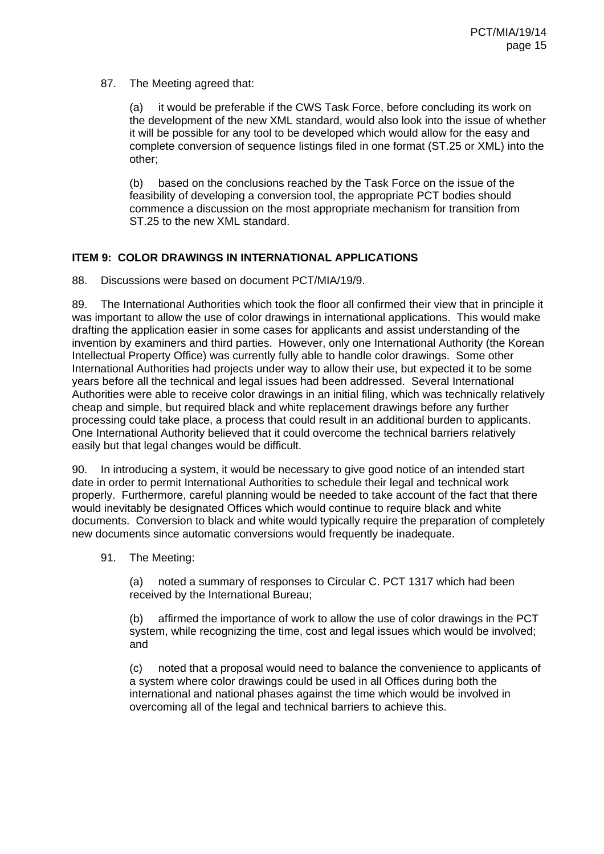#### 87. The Meeting agreed that:

(a) it would be preferable if the CWS Task Force, before concluding its work on the development of the new XML standard, would also look into the issue of whether it will be possible for any tool to be developed which would allow for the easy and complete conversion of sequence listings filed in one format (ST.25 or XML) into the other;

(b) based on the conclusions reached by the Task Force on the issue of the feasibility of developing a conversion tool, the appropriate PCT bodies should commence a discussion on the most appropriate mechanism for transition from ST.25 to the new XML standard.

#### **ITEM 9: COLOR DRAWINGS IN INTERNATIONAL APPLICATIONS**

88. Discussions were based on document PCT/MIA/19/9.

89. The International Authorities which took the floor all confirmed their view that in principle it was important to allow the use of color drawings in international applications. This would make drafting the application easier in some cases for applicants and assist understanding of the invention by examiners and third parties. However, only one International Authority (the Korean Intellectual Property Office) was currently fully able to handle color drawings. Some other International Authorities had projects under way to allow their use, but expected it to be some years before all the technical and legal issues had been addressed. Several International Authorities were able to receive color drawings in an initial filing, which was technically relatively cheap and simple, but required black and white replacement drawings before any further processing could take place, a process that could result in an additional burden to applicants. One International Authority believed that it could overcome the technical barriers relatively easily but that legal changes would be difficult.

90. In introducing a system, it would be necessary to give good notice of an intended start date in order to permit International Authorities to schedule their legal and technical work properly. Furthermore, careful planning would be needed to take account of the fact that there would inevitably be designated Offices which would continue to require black and white documents. Conversion to black and white would typically require the preparation of completely new documents since automatic conversions would frequently be inadequate.

91. The Meeting:

(a) noted a summary of responses to Circular C. PCT 1317 which had been received by the International Bureau;

(b) affirmed the importance of work to allow the use of color drawings in the PCT system, while recognizing the time, cost and legal issues which would be involved; and

(c) noted that a proposal would need to balance the convenience to applicants of a system where color drawings could be used in all Offices during both the international and national phases against the time which would be involved in overcoming all of the legal and technical barriers to achieve this.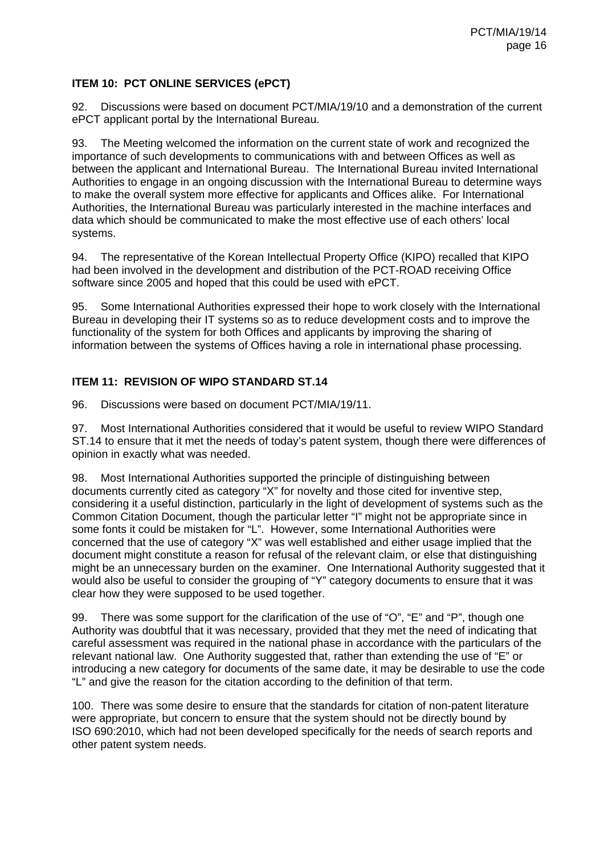### **ITEM 10: PCT ONLINE SERVICES (ePCT)**

92. Discussions were based on document PCT/MIA/19/10 and a demonstration of the current ePCT applicant portal by the International Bureau.

93. The Meeting welcomed the information on the current state of work and recognized the importance of such developments to communications with and between Offices as well as between the applicant and International Bureau. The International Bureau invited International Authorities to engage in an ongoing discussion with the International Bureau to determine ways to make the overall system more effective for applicants and Offices alike. For International Authorities, the International Bureau was particularly interested in the machine interfaces and data which should be communicated to make the most effective use of each others' local systems.

94. The representative of the Korean Intellectual Property Office (KIPO) recalled that KIPO had been involved in the development and distribution of the PCT-ROAD receiving Office software since 2005 and hoped that this could be used with ePCT.

95. Some International Authorities expressed their hope to work closely with the International Bureau in developing their IT systems so as to reduce development costs and to improve the functionality of the system for both Offices and applicants by improving the sharing of information between the systems of Offices having a role in international phase processing.

### **ITEM 11: REVISION OF WIPO STANDARD ST.14**

96. Discussions were based on document PCT/MIA/19/11.

97. Most International Authorities considered that it would be useful to review WIPO Standard ST.14 to ensure that it met the needs of today's patent system, though there were differences of opinion in exactly what was needed.

98. Most International Authorities supported the principle of distinguishing between documents currently cited as category "X" for novelty and those cited for inventive step, considering it a useful distinction, particularly in the light of development of systems such as the Common Citation Document, though the particular letter "I" might not be appropriate since in some fonts it could be mistaken for "L". However, some International Authorities were concerned that the use of category "X" was well established and either usage implied that the document might constitute a reason for refusal of the relevant claim, or else that distinguishing might be an unnecessary burden on the examiner. One International Authority suggested that it would also be useful to consider the grouping of "Y" category documents to ensure that it was clear how they were supposed to be used together.

99. There was some support for the clarification of the use of "O", "E" and "P", though one Authority was doubtful that it was necessary, provided that they met the need of indicating that careful assessment was required in the national phase in accordance with the particulars of the relevant national law. One Authority suggested that, rather than extending the use of "E" or introducing a new category for documents of the same date, it may be desirable to use the code "L" and give the reason for the citation according to the definition of that term.

100. There was some desire to ensure that the standards for citation of non-patent literature were appropriate, but concern to ensure that the system should not be directly bound by ISO 690:2010, which had not been developed specifically for the needs of search reports and other patent system needs.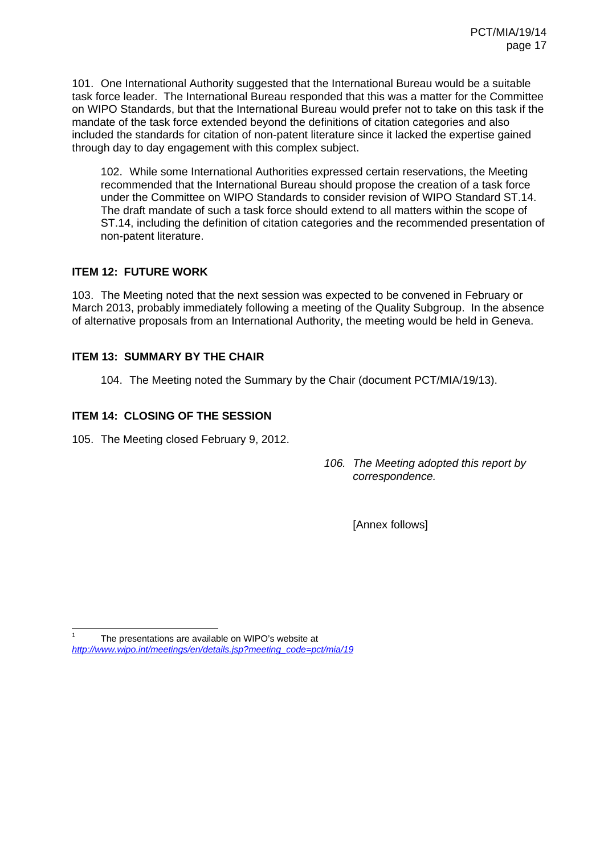101. One International Authority suggested that the International Bureau would be a suitable task force leader. The International Bureau responded that this was a matter for the Committee on WIPO Standards, but that the International Bureau would prefer not to take on this task if the mandate of the task force extended beyond the definitions of citation categories and also included the standards for citation of non-patent literature since it lacked the expertise gained through day to day engagement with this complex subject.

102. While some International Authorities expressed certain reservations, the Meeting recommended that the International Bureau should propose the creation of a task force under the Committee on WIPO Standards to consider revision of WIPO Standard ST.14. The draft mandate of such a task force should extend to all matters within the scope of ST.14, including the definition of citation categories and the recommended presentation of non-patent literature.

### **ITEM 12: FUTURE WORK**

103. The Meeting noted that the next session was expected to be convened in February or March 2013, probably immediately following a meeting of the Quality Subgroup. In the absence of alternative proposals from an International Authority, the meeting would be held in Geneva.

### **ITEM 13: SUMMARY BY THE CHAIR**

104. The Meeting noted the Summary by the Chair (document PCT/MIA/19/13).

### **ITEM 14: CLOSING OF THE SESSION**

105. The Meeting closed February 9, 2012.

*106. The Meeting adopted this report by correspondence.* 

[Annex follows]

 $\overline{a}$ 1 The presentations are available on WIPO's website at *http://www.wipo.int/meetings/en/details.jsp?meeting\_code=pct/mia/19*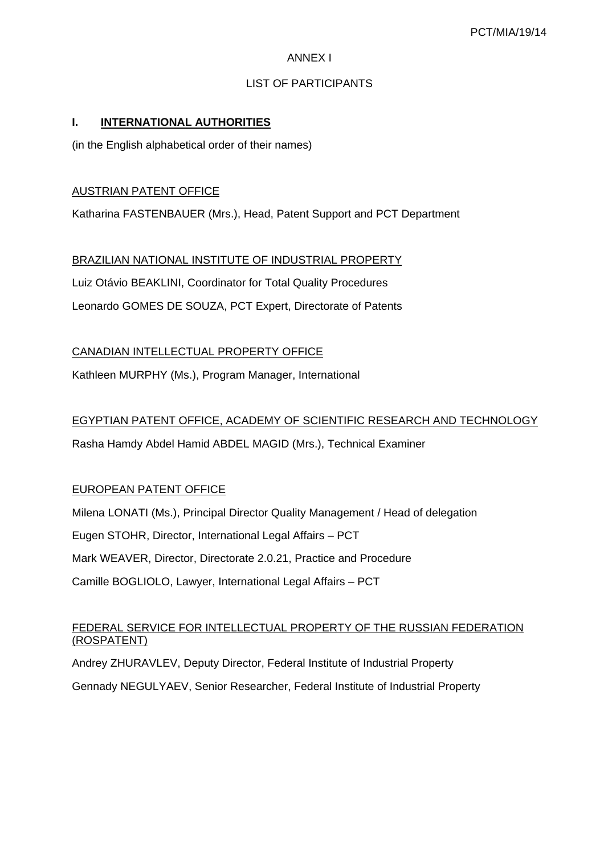#### ANNEX I

### LIST OF PARTICIPANTS

### **I. INTERNATIONAL AUTHORITIES**

(in the English alphabetical order of their names)

#### AUSTRIAN PATENT OFFICE

Katharina FASTENBAUER (Mrs.), Head, Patent Support and PCT Department

BRAZILIAN NATIONAL INSTITUTE OF INDUSTRIAL PROPERTY Luiz Otávio BEAKLINI, Coordinator for Total Quality Procedures Leonardo GOMES DE SOUZA, PCT Expert, Directorate of Patents

CANADIAN INTELLECTUAL PROPERTY OFFICE

Kathleen MURPHY (Ms.), Program Manager, International

### EGYPTIAN PATENT OFFICE, ACADEMY OF SCIENTIFIC RESEARCH AND TECHNOLOGY

Rasha Hamdy Abdel Hamid ABDEL MAGID (Mrs.), Technical Examiner

### EUROPEAN PATENT OFFICE

Milena LONATI (Ms.), Principal Director Quality Management / Head of delegation Eugen STOHR, Director, International Legal Affairs – PCT Mark WEAVER, Director, Directorate 2.0.21, Practice and Procedure Camille BOGLIOLO, Lawyer, International Legal Affairs – PCT

### FEDERAL SERVICE FOR INTELLECTUAL PROPERTY OF THE RUSSIAN FEDERATION (ROSPATENT)

Andrey ZHURAVLEV, Deputy Director, Federal Institute of Industrial Property

Gennady NEGULYAEV, Senior Researcher, Federal Institute of Industrial Property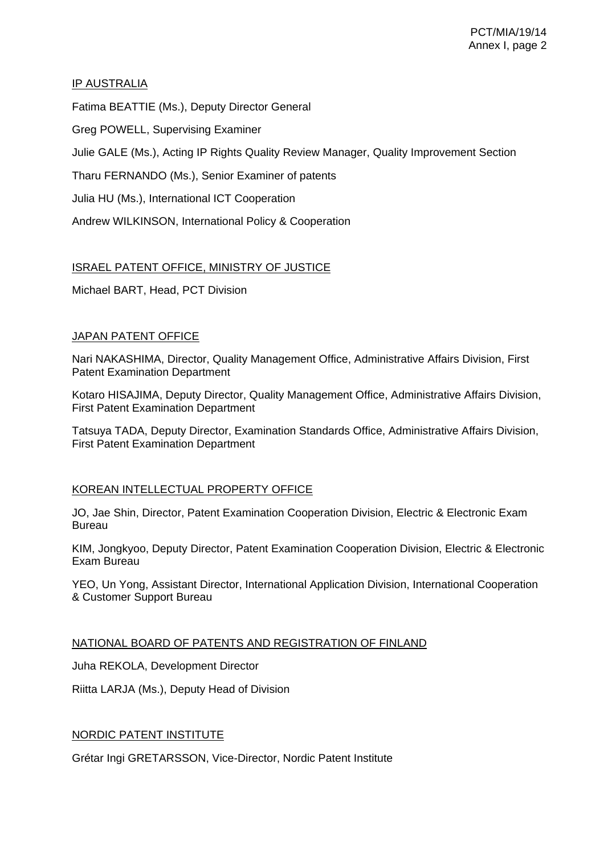### IP AUSTRALIA

Fatima BEATTIE (Ms.), Deputy Director General Greg POWELL, Supervising Examiner Julie GALE (Ms.), Acting IP Rights Quality Review Manager, Quality Improvement Section Tharu FERNANDO (Ms.), Senior Examiner of patents Julia HU (Ms.), International ICT Cooperation Andrew WILKINSON, International Policy & Cooperation

## ISRAEL PATENT OFFICE, MINISTRY OF JUSTICE

Michael BART, Head, PCT Division

### JAPAN PATENT OFFICE

Nari NAKASHIMA, Director, Quality Management Office, Administrative Affairs Division, First Patent Examination Department

Kotaro HISAJIMA, Deputy Director, Quality Management Office, Administrative Affairs Division, First Patent Examination Department

Tatsuya TADA, Deputy Director, Examination Standards Office, Administrative Affairs Division, First Patent Examination Department

### KOREAN INTELLECTUAL PROPERTY OFFICE

JO, Jae Shin, Director, Patent Examination Cooperation Division, Electric & Electronic Exam Bureau

KIM, Jongkyoo, Deputy Director, Patent Examination Cooperation Division, Electric & Electronic Exam Bureau

YEO, Un Yong, Assistant Director, International Application Division, International Cooperation & Customer Support Bureau

NATIONAL BOARD OF PATENTS AND REGISTRATION OF FINLAND

Juha REKOLA, Development Director

Riitta LARJA (Ms.), Deputy Head of Division

### NORDIC PATENT INSTITUTE

Grétar Ingi GRETARSSON, Vice-Director, Nordic Patent Institute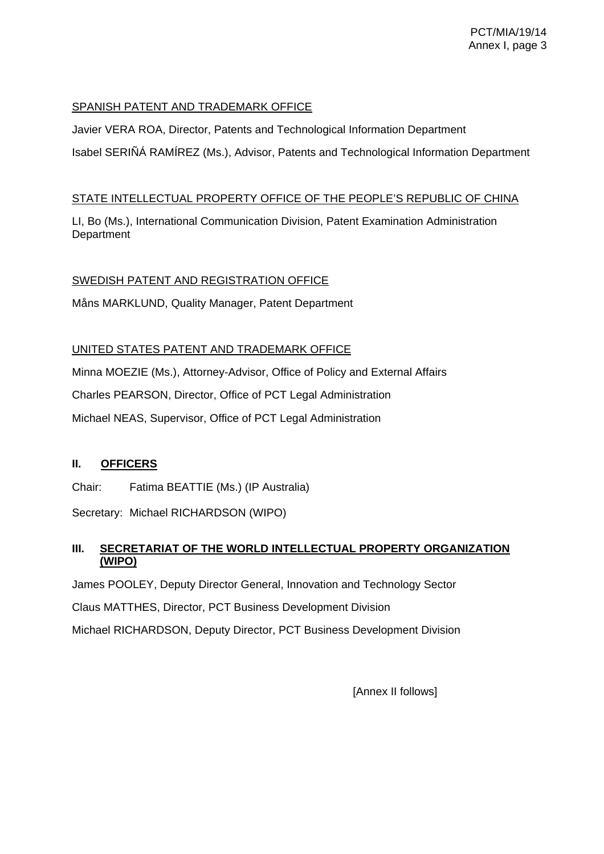### SPANISH PATENT AND TRADEMARK OFFICE

Javier VERA ROA, Director, Patents and Technological Information Department Isabel SERIÑÁ RAMÍREZ (Ms.), Advisor, Patents and Technological Information Department

### STATE INTELLECTUAL PROPERTY OFFICE OF THE PEOPLE'S REPUBLIC OF CHINA

LI, Bo (Ms.), International Communication Division, Patent Examination Administration **Department** 

## SWEDISH PATENT AND REGISTRATION OFFICE

Måns MARKLUND, Quality Manager, Patent Department

### UNITED STATES PATENT AND TRADEMARK OFFICE

Minna MOEZIE (Ms.), Attorney-Advisor, Office of Policy and External Affairs

Charles PEARSON, Director, Office of PCT Legal Administration

Michael NEAS, Supervisor, Office of PCT Legal Administration

### **II. OFFICERS**

Chair: Fatima BEATTIE (Ms.) (IP Australia)

Secretary: Michael RICHARDSON (WIPO)

## **III. SECRETARIAT OF THE WORLD INTELLECTUAL PROPERTY ORGANIZATION (WIPO)**

James POOLEY, Deputy Director General, Innovation and Technology Sector

Claus MATTHES, Director, PCT Business Development Division

Michael RICHARDSON, Deputy Director, PCT Business Development Division

[Annex II follows]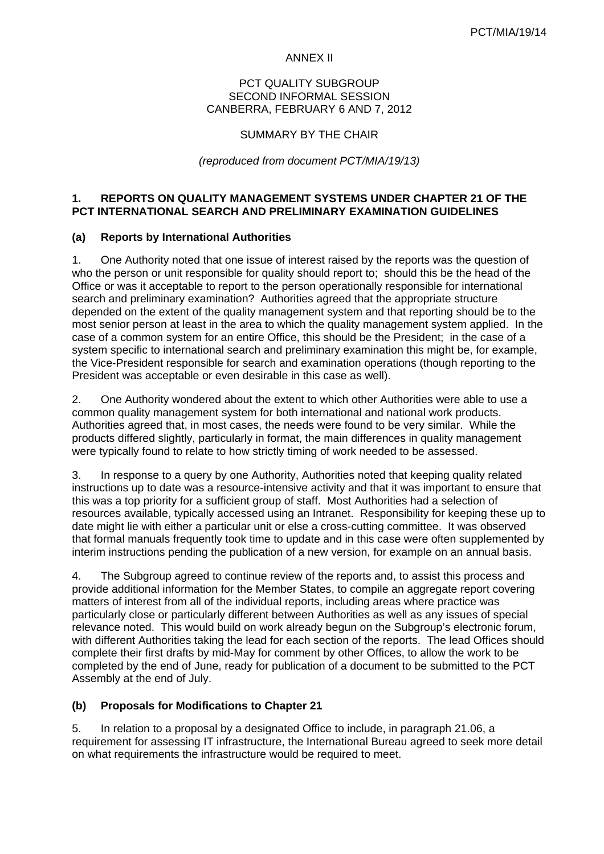#### ANNEX II

#### PCT QUALITY SUBGROUP SECOND INFORMAL SESSION CANBERRA, FEBRUARY 6 AND 7, 2012

#### SUMMARY BY THE CHAIR

#### *(reproduced from document PCT/MIA/19/13)*

### **1. REPORTS ON QUALITY MANAGEMENT SYSTEMS UNDER CHAPTER 21 OF THE PCT INTERNATIONAL SEARCH AND PRELIMINARY EXAMINATION GUIDELINES**

#### **(a) Reports by International Authorities**

1. One Authority noted that one issue of interest raised by the reports was the question of who the person or unit responsible for quality should report to; should this be the head of the Office or was it acceptable to report to the person operationally responsible for international search and preliminary examination? Authorities agreed that the appropriate structure depended on the extent of the quality management system and that reporting should be to the most senior person at least in the area to which the quality management system applied. In the case of a common system for an entire Office, this should be the President; in the case of a system specific to international search and preliminary examination this might be, for example, the Vice-President responsible for search and examination operations (though reporting to the President was acceptable or even desirable in this case as well).

2. One Authority wondered about the extent to which other Authorities were able to use a common quality management system for both international and national work products. Authorities agreed that, in most cases, the needs were found to be very similar. While the products differed slightly, particularly in format, the main differences in quality management were typically found to relate to how strictly timing of work needed to be assessed.

3. In response to a query by one Authority, Authorities noted that keeping quality related instructions up to date was a resource-intensive activity and that it was important to ensure that this was a top priority for a sufficient group of staff. Most Authorities had a selection of resources available, typically accessed using an Intranet. Responsibility for keeping these up to date might lie with either a particular unit or else a cross-cutting committee. It was observed that formal manuals frequently took time to update and in this case were often supplemented by interim instructions pending the publication of a new version, for example on an annual basis.

4. The Subgroup agreed to continue review of the reports and, to assist this process and provide additional information for the Member States, to compile an aggregate report covering matters of interest from all of the individual reports, including areas where practice was particularly close or particularly different between Authorities as well as any issues of special relevance noted. This would build on work already begun on the Subgroup's electronic forum, with different Authorities taking the lead for each section of the reports. The lead Offices should complete their first drafts by mid-May for comment by other Offices, to allow the work to be completed by the end of June, ready for publication of a document to be submitted to the PCT Assembly at the end of July.

#### **(b) Proposals for Modifications to Chapter 21**

5. In relation to a proposal by a designated Office to include, in paragraph 21.06, a requirement for assessing IT infrastructure, the International Bureau agreed to seek more detail on what requirements the infrastructure would be required to meet.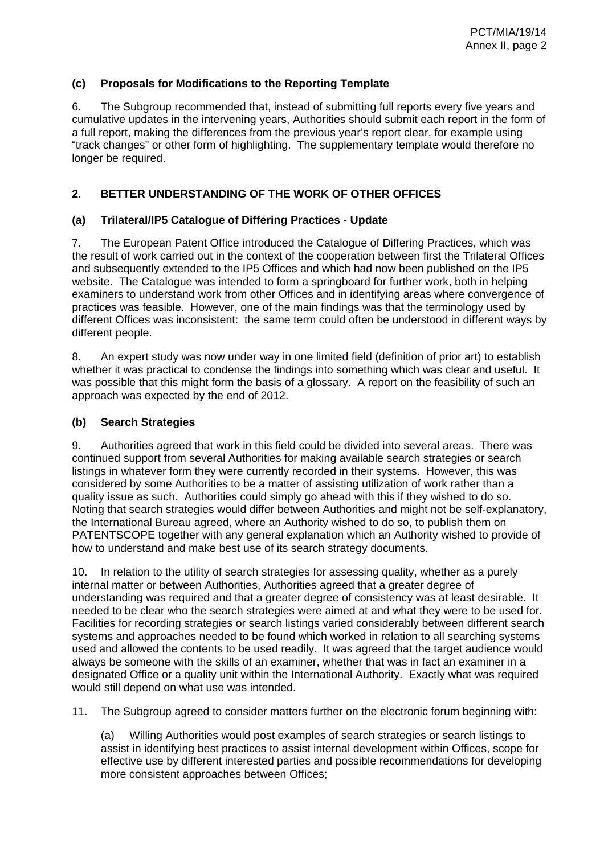### **(c) Proposals for Modifications to the Reporting Template**

6. The Subgroup recommended that, instead of submitting full reports every five years and cumulative updates in the intervening years, Authorities should submit each report in the form of a full report, making the differences from the previous year's report clear, for example using "track changes" or other form of highlighting. The supplementary template would therefore no longer be required.

### **2. BETTER UNDERSTANDING OF THE WORK OF OTHER OFFICES**

### **(a) Trilateral/IP5 Catalogue of Differing Practices - Update**

7. The European Patent Office introduced the Catalogue of Differing Practices, which was the result of work carried out in the context of the cooperation between first the Trilateral Offices and subsequently extended to the IP5 Offices and which had now been published on the IP5 website. The Catalogue was intended to form a springboard for further work, both in helping examiners to understand work from other Offices and in identifying areas where convergence of practices was feasible. However, one of the main findings was that the terminology used by different Offices was inconsistent: the same term could often be understood in different ways by different people.

8. An expert study was now under way in one limited field (definition of prior art) to establish whether it was practical to condense the findings into something which was clear and useful. It was possible that this might form the basis of a glossary. A report on the feasibility of such an approach was expected by the end of 2012.

### **(b) Search Strategies**

9. Authorities agreed that work in this field could be divided into several areas. There was continued support from several Authorities for making available search strategies or search listings in whatever form they were currently recorded in their systems. However, this was considered by some Authorities to be a matter of assisting utilization of work rather than a quality issue as such. Authorities could simply go ahead with this if they wished to do so. Noting that search strategies would differ between Authorities and might not be self-explanatory, the International Bureau agreed, where an Authority wished to do so, to publish them on PATENTSCOPE together with any general explanation which an Authority wished to provide of how to understand and make best use of its search strategy documents.

10. In relation to the utility of search strategies for assessing quality, whether as a purely internal matter or between Authorities, Authorities agreed that a greater degree of understanding was required and that a greater degree of consistency was at least desirable. It needed to be clear who the search strategies were aimed at and what they were to be used for. Facilities for recording strategies or search listings varied considerably between different search systems and approaches needed to be found which worked in relation to all searching systems used and allowed the contents to be used readily. It was agreed that the target audience would always be someone with the skills of an examiner, whether that was in fact an examiner in a designated Office or a quality unit within the International Authority. Exactly what was required would still depend on what use was intended.

11. The Subgroup agreed to consider matters further on the electronic forum beginning with:

(a) Willing Authorities would post examples of search strategies or search listings to assist in identifying best practices to assist internal development within Offices, scope for effective use by different interested parties and possible recommendations for developing more consistent approaches between Offices;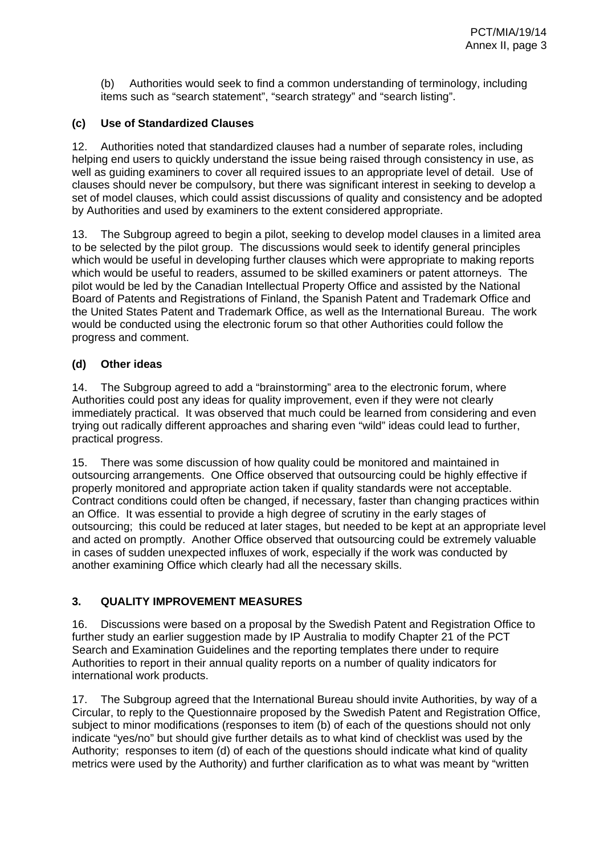(b) Authorities would seek to find a common understanding of terminology, including items such as "search statement", "search strategy" and "search listing".

## **(c) Use of Standardized Clauses**

12. Authorities noted that standardized clauses had a number of separate roles, including helping end users to quickly understand the issue being raised through consistency in use, as well as guiding examiners to cover all required issues to an appropriate level of detail. Use of clauses should never be compulsory, but there was significant interest in seeking to develop a set of model clauses, which could assist discussions of quality and consistency and be adopted by Authorities and used by examiners to the extent considered appropriate.

13. The Subgroup agreed to begin a pilot, seeking to develop model clauses in a limited area to be selected by the pilot group. The discussions would seek to identify general principles which would be useful in developing further clauses which were appropriate to making reports which would be useful to readers, assumed to be skilled examiners or patent attorneys. The pilot would be led by the Canadian Intellectual Property Office and assisted by the National Board of Patents and Registrations of Finland, the Spanish Patent and Trademark Office and the United States Patent and Trademark Office, as well as the International Bureau. The work would be conducted using the electronic forum so that other Authorities could follow the progress and comment.

### **(d) Other ideas**

14. The Subgroup agreed to add a "brainstorming" area to the electronic forum, where Authorities could post any ideas for quality improvement, even if they were not clearly immediately practical. It was observed that much could be learned from considering and even trying out radically different approaches and sharing even "wild" ideas could lead to further, practical progress.

15. There was some discussion of how quality could be monitored and maintained in outsourcing arrangements. One Office observed that outsourcing could be highly effective if properly monitored and appropriate action taken if quality standards were not acceptable. Contract conditions could often be changed, if necessary, faster than changing practices within an Office. It was essential to provide a high degree of scrutiny in the early stages of outsourcing; this could be reduced at later stages, but needed to be kept at an appropriate level and acted on promptly. Another Office observed that outsourcing could be extremely valuable in cases of sudden unexpected influxes of work, especially if the work was conducted by another examining Office which clearly had all the necessary skills.

## **3. QUALITY IMPROVEMENT MEASURES**

16. Discussions were based on a proposal by the Swedish Patent and Registration Office to further study an earlier suggestion made by IP Australia to modify Chapter 21 of the PCT Search and Examination Guidelines and the reporting templates there under to require Authorities to report in their annual quality reports on a number of quality indicators for international work products.

17. The Subgroup agreed that the International Bureau should invite Authorities, by way of a Circular, to reply to the Questionnaire proposed by the Swedish Patent and Registration Office, subject to minor modifications (responses to item (b) of each of the questions should not only indicate "yes/no" but should give further details as to what kind of checklist was used by the Authority; responses to item (d) of each of the questions should indicate what kind of quality metrics were used by the Authority) and further clarification as to what was meant by "written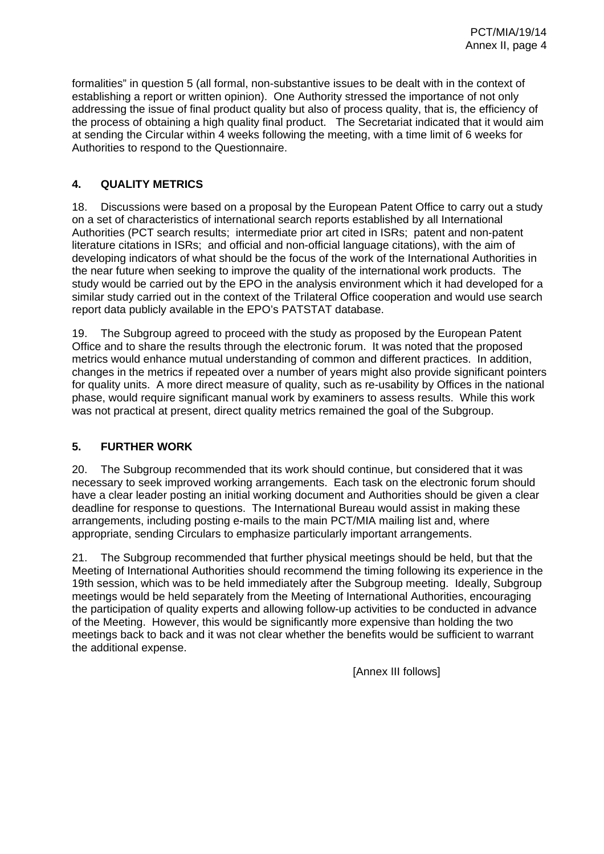formalities" in question 5 (all formal, non-substantive issues to be dealt with in the context of establishing a report or written opinion). One Authority stressed the importance of not only addressing the issue of final product quality but also of process quality, that is, the efficiency of the process of obtaining a high quality final product. The Secretariat indicated that it would aim at sending the Circular within 4 weeks following the meeting, with a time limit of 6 weeks for Authorities to respond to the Questionnaire.

## **4. QUALITY METRICS**

18. Discussions were based on a proposal by the European Patent Office to carry out a study on a set of characteristics of international search reports established by all International Authorities (PCT search results; intermediate prior art cited in ISRs; patent and non-patent literature citations in ISRs; and official and non-official language citations), with the aim of developing indicators of what should be the focus of the work of the International Authorities in the near future when seeking to improve the quality of the international work products. The study would be carried out by the EPO in the analysis environment which it had developed for a similar study carried out in the context of the Trilateral Office cooperation and would use search report data publicly available in the EPO's PATSTAT database.

19. The Subgroup agreed to proceed with the study as proposed by the European Patent Office and to share the results through the electronic forum. It was noted that the proposed metrics would enhance mutual understanding of common and different practices. In addition, changes in the metrics if repeated over a number of years might also provide significant pointers for quality units. A more direct measure of quality, such as re-usability by Offices in the national phase, would require significant manual work by examiners to assess results. While this work was not practical at present, direct quality metrics remained the goal of the Subgroup.

## **5. FURTHER WORK**

20. The Subgroup recommended that its work should continue, but considered that it was necessary to seek improved working arrangements. Each task on the electronic forum should have a clear leader posting an initial working document and Authorities should be given a clear deadline for response to questions. The International Bureau would assist in making these arrangements, including posting e-mails to the main PCT/MIA mailing list and, where appropriate, sending Circulars to emphasize particularly important arrangements.

21. The Subgroup recommended that further physical meetings should be held, but that the Meeting of International Authorities should recommend the timing following its experience in the 19th session, which was to be held immediately after the Subgroup meeting. Ideally, Subgroup meetings would be held separately from the Meeting of International Authorities, encouraging the participation of quality experts and allowing follow-up activities to be conducted in advance of the Meeting. However, this would be significantly more expensive than holding the two meetings back to back and it was not clear whether the benefits would be sufficient to warrant the additional expense.

[Annex III follows]